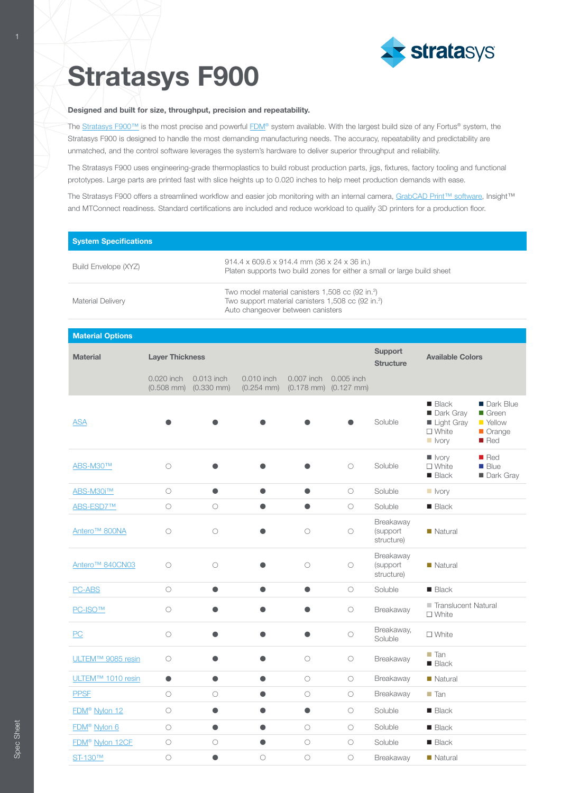

# **Stratasys F900**

#### Designed and built for size, throughput, precision and repeatability.

The [Stratasys F900™](http://www.stratasys.com/3d-printers/stratasys-f900?utm_source=spec-sheet&utm_medium=pdf&utm_content=stratasys-f900-spec-sheet-link-1-stratasys-f900) is the most precise and powerful [FDM®](http://www.stratasys.com/fdm-technology?utm_source=spec-sheet&utm_medium=pdf&utm_content=stratasys-f900-spec-sheet-link-2-fdm) system available. With the largest build size of any Fortus® system, the Stratasys F900 is designed to handle the most demanding manufacturing needs. The accuracy, repeatability and predictability are unmatched, and the control software leverages the system's hardware to deliver superior throughput and reliability.

The Stratasys F900 uses engineering-grade thermoplastics to build robust production parts, jigs, fixtures, factory tooling and functional prototypes. Large parts are printed fast with slice heights up to 0.020 inches to help meet production demands with ease.

The Stratasys F900 offers a streamlined workflow and easier job monitoring with an internal camera, [GrabCAD Print™ software,](http://www.stratasys.com/software?utm_source=spec-sheet&utm_medium=pdf&utm_content=stratasys-f900-spec-sheet-link-3-grabcad-print-software) Insight™ and MTConnect readiness. Standard certifications are included and reduce workload to qualify 3D printers for a production floor.

| <b>System Specifications</b> |                                                                                                                                                                     |
|------------------------------|---------------------------------------------------------------------------------------------------------------------------------------------------------------------|
| Build Envelope (XYZ)         | 914.4 x 609.6 x 914.4 mm (36 x 24 x 36 in.)<br>Platen supports two build zones for either a small or large build sheet                                              |
| <b>Material Delivery</b>     | Two model material canisters 1,508 cc (92 in. <sup>3</sup> )<br>Two support material canisters 1,508 cc (92 in. <sup>3</sup> )<br>Auto changeover between canisters |

#### **Material Options**

| <b>Material</b>             | <b>Layer Thickness</b> |                                               |                               |            | <b>Support</b><br><b>Structure</b>                      | <b>Available Colors</b>             |                                                                                    |                                                                  |
|-----------------------------|------------------------|-----------------------------------------------|-------------------------------|------------|---------------------------------------------------------|-------------------------------------|------------------------------------------------------------------------------------|------------------------------------------------------------------|
|                             | 0.020 inch             | 0.013 inch<br>$(0.508$ mm $)$ $(0.330$ mm $)$ | 0.010 inch<br>$(0.254$ mm $)$ | 0.007 inch | 0.005 inch<br>$(0.178 \text{ mm})$ $(0.127 \text{ mm})$ |                                     |                                                                                    |                                                                  |
| <b>ASA</b>                  |                        |                                               |                               |            |                                                         | Soluble                             | <b>Black</b><br>Dark Gray<br>Light Gray<br>$\square$ White<br>$\blacksquare$ Ivory | Dark Blue<br>■ Green<br>■ Yellow<br>Orange<br>$\blacksquare$ Red |
| ABS-M30™                    | $\circ$                |                                               |                               |            | $\circ$                                                 | Soluble                             | lvory<br>$\Box$ White<br>$\blacksquare$ Black                                      | Red<br><b>Blue</b><br>Dark Gray                                  |
| ABS-M30i™                   | $\circ$                | $\bullet$                                     | $\bullet$                     | $\bullet$  | $\bigcirc$                                              | Soluble                             | $\blacksquare$ Ivory                                                               |                                                                  |
| ABS-ESD7™                   | $\circ$                | $\circ$                                       | $\bullet$                     | $\bullet$  | $\circ$                                                 | Soluble                             | $\blacksquare$ Black                                                               |                                                                  |
| Antero <sup>™</sup> 800NA   | $\circ$                | $\bigcirc$                                    |                               | $\circ$    | $\bigcirc$                                              | Breakaway<br>(support<br>structure) | Natural                                                                            |                                                                  |
| Antero <sup>™</sup> 840CN03 | $\circ$                | $\bigcirc$                                    |                               | $\bigcirc$ | $\bigcirc$                                              | Breakaway<br>(support<br>structure) | $\blacksquare$ Natural                                                             |                                                                  |
| <b>PC-ABS</b>               | $\circ$                | $\bullet$                                     | $\bullet$                     | $\bullet$  | $\bigcirc$                                              | Soluble                             | <b>Black</b>                                                                       |                                                                  |
| <b>PC-ISO™</b>              | $\circ$                | $\bullet$                                     | $\bullet$                     | $\bullet$  | $\circ$                                                 | Breakaway                           | Translucent Natural<br>$\square$ White                                             |                                                                  |
| PC                          | $\circ$                | $\bullet$                                     | $\bullet$                     | $\bullet$  | $\circ$                                                 | Breakaway,<br>Soluble               | $\square$ White                                                                    |                                                                  |
| ULTEM™ 9085 resin           | $\circ$                |                                               |                               | $\bigcirc$ | $\bigcirc$                                              | Breakaway                           | $\blacksquare$ Tan<br>$\blacksquare$ Black                                         |                                                                  |
| ULTEM™ 1010 resin           | $\bullet$              | $\bullet$                                     | $\bullet$                     | $\circ$    | $\circ$                                                 | Breakaway                           | $\blacksquare$ Natural                                                             |                                                                  |
| <b>PPSF</b>                 | $\circ$                | $\circ$                                       | $\bullet$                     | $\circ$    | $\circ$                                                 | Breakaway                           | $\blacksquare$ Tan                                                                 |                                                                  |
| FDM <sup>®</sup> Nylon 12   | $\circ$                | $\bullet$                                     | $\bullet$                     | $\bullet$  | $\circ$                                                 | Soluble                             | $\blacksquare$ Black                                                               |                                                                  |
| FDM <sup>®</sup> Nylon 6    | $\circ$                | $\bullet$                                     | $\bullet$                     | $\circ$    | $\bigcirc$                                              | Soluble                             | $\blacksquare$ Black                                                               |                                                                  |
| FDM <sup>®</sup> Nylon 12CF | $\bigcirc$             | $\bigcirc$                                    | $\bullet$                     | $\bigcirc$ | $\bigcirc$                                              | Soluble                             | $\blacksquare$ Black                                                               |                                                                  |
| <b>ST-130™</b>              | $\bigcirc$             | $\bullet$                                     | О                             | $\bigcirc$ | $\bigcirc$                                              | Breakaway                           | Natural                                                                            |                                                                  |